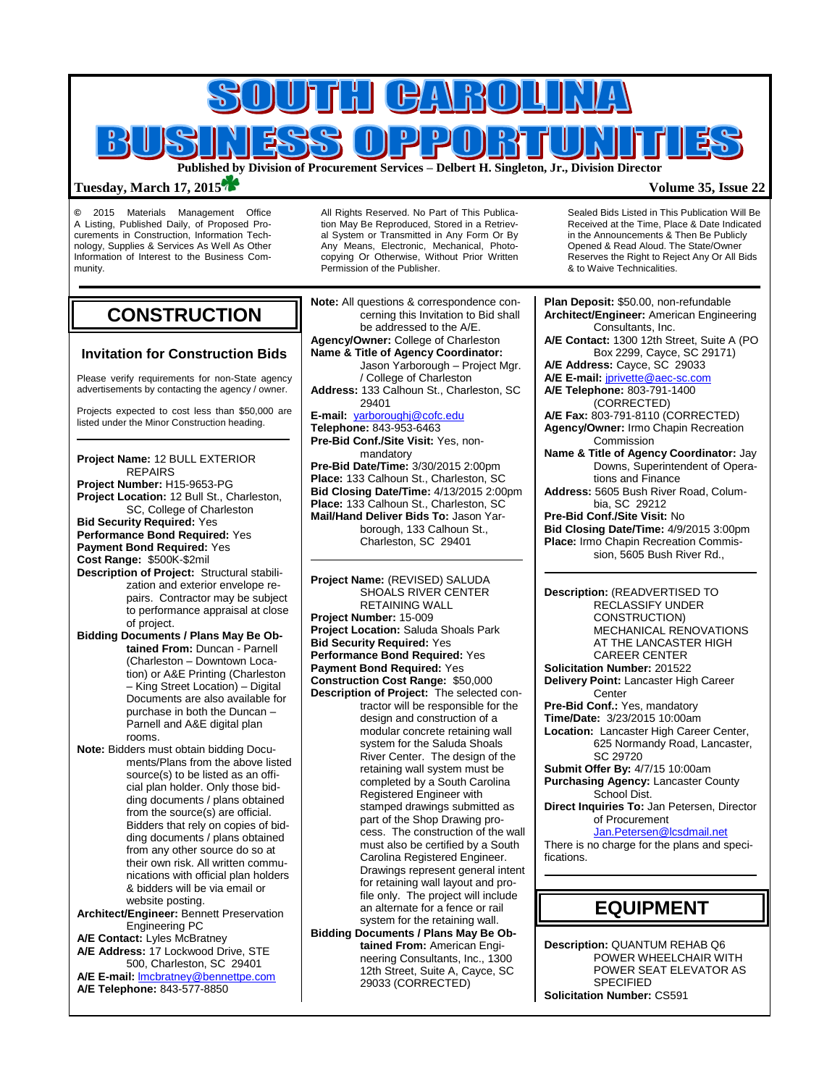

### **Tuesday, March 17, 2015 Volume 35, Issue 22**

**©** 2015 Materials Management Office A Listing, Published Daily, of Proposed Procurements in Construction, Information Technology, Supplies & Services As Well As Other Information of Interest to the Business Community.

# **CONSTRUCTION**

### **Invitation for Construction Bids**

Please verify requirements for non-State agency advertisements by contacting the agency / owner.

Projects expected to cost less than \$50,000 are listed under the Minor Construction heading.

**Project Name:** 12 BULL EXTERIOR REPAIRS **Project Number:** H15-9653-PG **Project Location:** 12 Bull St., Charleston, SC, College of Charleston **Bid Security Required:** Yes **Performance Bond Required:** Yes **Payment Bond Required:** Yes **Cost Range:** \$500K-\$2mil **Description of Project:** Structural stabilization and exterior envelope repairs. Contractor may be subject to performance appraisal at close of project. **Bidding Documents / Plans May Be Obtained From:** Duncan - Parnell (Charleston – Downtown Location) or A&E Printing (Charleston – King Street Location) – Digital Documents are also available for purchase in both the Duncan – Parnell and A&E digital plan rooms. **Note:** Bidders must obtain bidding Documents/Plans from the above listed source(s) to be listed as an official plan holder. Only those bidding documents / plans obtained from the source(s) are official. Bidders that rely on copies of bid-

ding documents / plans obtained from any other source do so at their own risk. All written communications with official plan holders & bidders will be via email or website posting.

**Architect/Engineer:** Bennett Preservation Engineering PC

**A/E Contact:** Lyles McBratney **A/E Address:** 17 Lockwood Drive, STE

500, Charleston, SC 29401 **A/E E-mail:** [lmcbratney@bennettpe.com](mailto:lmcbratney@bennettpe.com)

**A/E Telephone:** 843-577-8850

All Rights Reserved. No Part of This Publication May Be Reproduced, Stored in a Retrieval System or Transmitted in Any Form Or By Any Means, Electronic, Mechanical, Photocopying Or Otherwise, Without Prior Written Permission of the Publisher.

**Note:** All questions & correspondence concerning this Invitation to Bid shall be addressed to the A/E. **Agency/Owner:** College of Charleston **Name & Title of Agency Coordinator:** Jason Yarborough – Project Mgr. / College of Charleston **Address:** 133 Calhoun St., Charleston, SC 29401 **E-mail:** [yarboroughj@cofc.edu](mailto:yarboroughj@cofc.edu) **Telephone:** 843-953-6463 **Pre-Bid Conf./Site Visit:** Yes, nonmandatory **Pre-Bid Date/Time:** 3/30/2015 2:00pm **Place:** 133 Calhoun St., Charleston, SC **Bid Closing Date/Time:** 4/13/2015 2:00pm **Place:** 133 Calhoun St., Charleston, SC **Mail/Hand Deliver Bids To:** Jason Yarborough, 133 Calhoun St., Charleston, SC 29401

### **Project Name:** (REVISED) SALUDA SHOALS RIVER CENTER RETAINING WALL **Project Number:** 15-009

**Project Location:** Saluda Shoals Park **Bid Security Required:** Yes **Performance Bond Required:** Yes **Payment Bond Required:** Yes **Construction Cost Range:** \$50,000 **Description of Project:** The selected contractor will be responsible for the design and construction of a modular concrete retaining wall system for the Saluda Shoals River Center. The design of the retaining wall system must be completed by a South Carolina Registered Engineer with stamped drawings submitted as part of the Shop Drawing process. The construction of the wall must also be certified by a South Carolina Registered Engineer. Drawings represent general intent for retaining wall layout and profile only. The project will include an alternate for a fence or rail system for the retaining wall.

**Bidding Documents / Plans May Be Obtained From:** American Engineering Consultants, Inc., 1300 12th Street, Suite A, Cayce, SC 29033 (CORRECTED)

Sealed Bids Listed in This Publication Will Be Received at the Time, Place & Date Indicated in the Announcements & Then Be Publicly Opened & Read Aloud. The State/Owner Reserves the Right to Reject Any Or All Bids & to Waive Technicalities.

**Plan Deposit:** \$50.00, non-refundable **Architect/Engineer:** American Engineering Consultants, Inc. **A/E Contact:** 1300 12th Street, Suite A (PO Box 2299, Cayce, SC 29171) **A/E Address:** Cayce, SC 29033 **A/E E-mail:** [jprivette@aec-sc.com](mailto:jprivette@aec-sc.com) **A/E Telephone:** 803-791-1400 (CORRECTED) **A/E Fax:** 803-791-8110 (CORRECTED) **Agency/Owner:** Irmo Chapin Recreation Commission **Name & Title of Agency Coordinator:** Jay Downs, Superintendent of Operations and Finance **Address:** 5605 Bush River Road, Columbia, SC 29212 **Pre-Bid Conf./Site Visit:** No **Bid Closing Date/Time:** 4/9/2015 3:00pm **Place:** Irmo Chapin Recreation Commission, 5605 Bush River Rd.,

**Description:** (READVERTISED TO RECLASSIFY UNDER CONSTRUCTION) MECHANICAL RENOVATIONS AT THE LANCASTER HIGH CAREER CENTER **Solicitation Number:** 201522 **Delivery Point:** Lancaster High Career **Center Pre-Bid Conf.:** Yes, mandatory **Time/Date:** 3/23/2015 10:00am **Location:** Lancaster High Career Center, 625 Normandy Road, Lancaster, SC 29720 **Submit Offer By:** 4/7/15 10:00am **Purchasing Agency:** Lancaster County School Dist. **Direct Inquiries To:** Jan Petersen, Director of Procurement [Jan.Petersen@lcsdmail.net](mailto:Jan.Petersen@lcsdmail.net) There is no charge for the plans and specifications.

**EQUIPMENT**

**Description:** QUANTUM REHAB Q6 POWER WHEELCHAIR WITH POWER SEAT ELEVATOR AS SPECIFIED **Solicitation Number:** CS591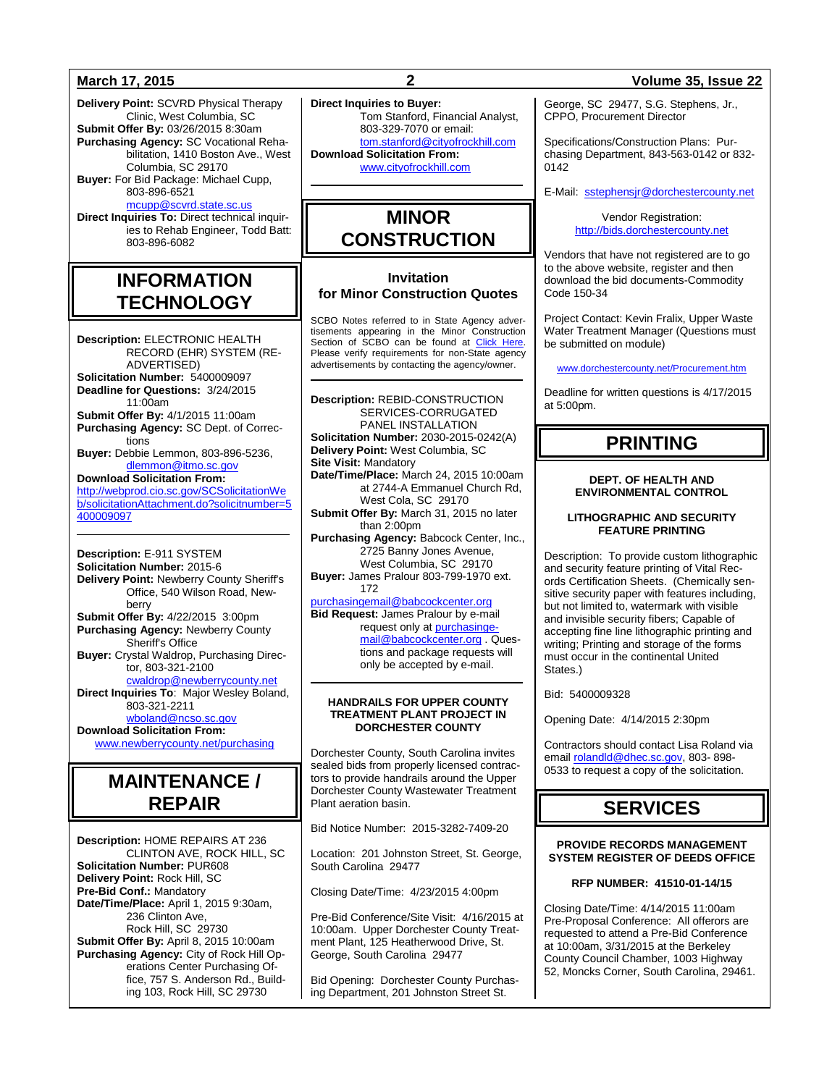**Delivery Point:** SCVRD Physical Therapy Clinic, West Columbia, SC **Submit Offer By:** 03/26/2015 8:30am **Purchasing Agency:** SC Vocational Rehabilitation, 1410 Boston Ave., West Columbia, SC 29170

**Buyer:** For Bid Package: Michael Cupp, 803-896-6521 [mcupp@scvrd.state.sc.us](mailto:mcupp@scvrd.state.sc.us)

**Direct Inquiries To:** Direct technical inquiries to Rehab Engineer, Todd Batt: 803-896-6082

## **INFORMATION TECHNOLOGY**

**Description:** ELECTRONIC HEALTH RECORD (EHR) SYSTEM (RE-ADVERTISED) **Solicitation Number:** 5400009097 **Deadline for Questions:** 3/24/2015 11:00am **Submit Offer By:** 4/1/2015 11:00am **Purchasing Agency:** SC Dept. of Corrections **Buyer:** Debbie Lemmon, 803-896-5236, [dlemmon@itmo.sc.gov](mailto:dlemmon@itmo.sc.gov) **Download Solicitation From:** [http://webprod.cio.sc.gov/SCSolicitationWe](http://webprod.cio.sc.gov/SCSolicitationWeb/solicitationAttachment.do?solicitnumber=5400009097) [b/solicitationAttachment.do?solicitnumber=5](http://webprod.cio.sc.gov/SCSolicitationWeb/solicitationAttachment.do?solicitnumber=5400009097) [400009097](http://webprod.cio.sc.gov/SCSolicitationWeb/solicitationAttachment.do?solicitnumber=5400009097)

**Description:** E-911 SYSTEM **Solicitation Number:** 2015-6 **Delivery Point:** Newberry County Sheriff's Office, 540 Wilson Road, Newberry **Submit Offer By:** 4/22/2015 3:00pm **Purchasing Agency:** Newberry County Sheriff's Office **Buyer:** Crystal Waldrop, Purchasing Director, 803-321-2100 [cwaldrop@newberrycounty.net](mailto:cwaldrop@newberrycounty.net) **Direct Inquiries To**: Major Wesley Boland, 803-321-2211 [wboland@ncso.sc.gov](mailto:wboland@ncso.sc.gov)

**Download Solicitation From:** [www.newberrycounty.net/purchasing](http://www.newberrycounty.net/purchasing)

# **MAINTENANCE / REPAIR**

**Description:** HOME REPAIRS AT 236 CLINTON AVE, ROCK HILL, SC **Solicitation Number:** PUR608 **Delivery Point:** Rock Hill, SC **Pre-Bid Conf.:** Mandatory **Date/Time/Place:** April 1, 2015 9:30am, 236 Clinton Ave, Rock Hill, SC 29730 **Submit Offer By:** April 8, 2015 10:00am **Purchasing Agency:** City of Rock Hill Operations Center Purchasing Office, 757 S. Anderson Rd., Building 103, Rock Hill, SC 29730

**Direct Inquiries to Buyer:** .<br>Tom Stanford, Financial Analyst,

803-329-7070 or email: [tom.stanford@cityofrockhill.com](mailto:tom.stanford@cityofrockhill.com) **Download Solicitation From:** [www.cityofrockhill.com](http://www.cityofrockhill.com/)

## **MINOR CONSTRUCTION**

### **Invitation for Minor Construction Quotes**

SCBO Notes referred to in State Agency advertisements appearing in the Minor Construction Section of SCBO can be found at [Click Here.](http://www.mmo.sc.gov/PS/general/scbo/SCBO_Notes_060512.pdf) Please verify requirements for non-State agency advertisements by contacting the agency/owner.

**Description:** REBID-CONSTRUCTION SERVICES-CORRUGATED PANEL INSTALLATION **Solicitation Number:** 2030-2015-0242(A) **Delivery Point:** West Columbia, SC **Site Visit:** Mandatory **Date/Time/Place:** March 24, 2015 10:00am at 2744-A Emmanuel Church Rd, West Cola, SC 29170 **Submit Offer By:** March 31, 2015 no later than  $2:00$ pm **Purchasing Agency:** Babcock Center, Inc., 2725 Banny Jones Avenue, West Columbia, SC 29170 **Buyer:** James Pralour 803-799-1970 ext. 172 [purchasingemail@babcockcenter.org](mailto:purchasingemail@babcockcenter.org) **Bid Request:** James Pralour by e-mail request only a[t purchasinge-](mailto:purchasingemail@babcockcenter.org)

[mail@babcockcenter.org](mailto:purchasingemail@babcockcenter.org) . Questions and package requests will only be accepted by e-mail.

#### **HANDRAILS FOR UPPER COUNTY TREATMENT PLANT PROJECT IN DORCHESTER COUNTY**

Dorchester County, South Carolina invites sealed bids from properly licensed contractors to provide handrails around the Upper Dorchester County Wastewater Treatment Plant aeration basin.

Bid Notice Number: 2015-3282-7409-20

Location: 201 Johnston Street, St. George, South Carolina 29477

Closing Date/Time: 4/23/2015 4:00pm

Pre-Bid Conference/Site Visit: 4/16/2015 at 10:00am. Upper Dorchester County Treatment Plant, 125 Heatherwood Drive, St. George, South Carolina 29477

Bid Opening: Dorchester County Purchasing Department, 201 Johnston Street St.

### **March 17, 2015 2 Volume 35, Issue 22**

George, SC 29477, S.G. Stephens, Jr., CPPO, Procurement Director

Specifications/Construction Plans: Purchasing Department, 843-563-0142 or 832- 0142

E-Mail: [sstephensjr@dorchestercounty.net](mailto:sstephensjr@dorchestercounty.net)

Vendor Registration: [http://bids.dorchestercounty.net](http://bids.dorchestercounty.net/)

Vendors that have not registered are to go to the above website, register and then download the bid documents-Commodity Code 150-34

Project Contact: Kevin Fralix, Upper Waste Water Treatment Manager (Questions must be submitted on module)

[www.dorchestercounty.net/Procurement.htm](http://www.dorchestercounty.net/Procurement.htm)

Deadline for written questions is 4/17/2015 at 5:00pm.

# **PRINTING**

### **DEPT. OF HEALTH AND ENVIRONMENTAL CONTROL**

### **LITHOGRAPHIC AND SECURITY FEATURE PRINTING**

Description: To provide custom lithographic and security feature printing of Vital Records Certification Sheets. (Chemically sensitive security paper with features including, but not limited to, watermark with visible and invisible security fibers; Capable of accepting fine line lithographic printing and writing; Printing and storage of the forms must occur in the continental United States.)

Bid: 5400009328

Opening Date: 4/14/2015 2:30pm

Contractors should contact Lisa Roland via emai[l rolandld@dhec.sc.gov,](mailto:rolandld@dhec.sc.gov) 803-898-0533 to request a copy of the solicitation.

# **SERVICES**

**PROVIDE RECORDS MANAGEMENT SYSTEM REGISTER OF DEEDS OFFICE**

### **RFP NUMBER: 41510-01-14/15**

Closing Date/Time: 4/14/2015 11:00am Pre-Proposal Conference: All offerors are requested to attend a Pre-Bid Conference at 10:00am, 3/31/2015 at the Berkeley County Council Chamber, 1003 Highway 52, Moncks Corner, South Carolina, 29461.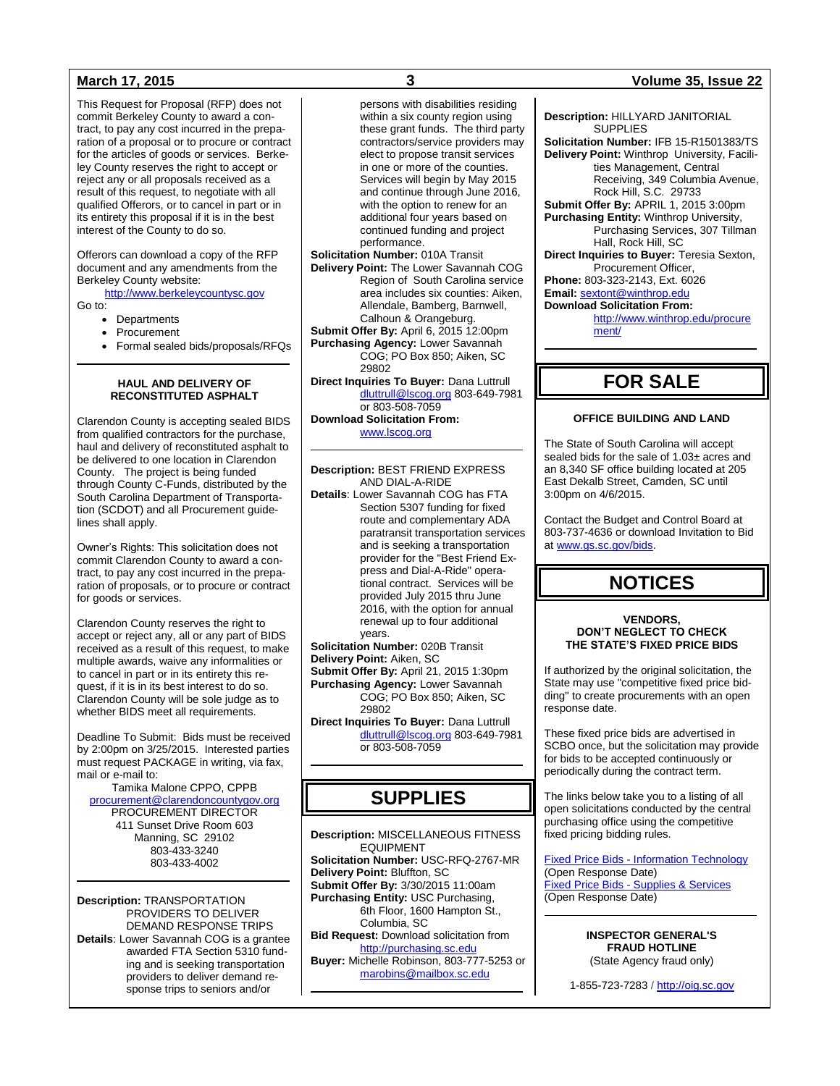This Request for Proposal (RFP) does not commit Berkeley County to award a contract, to pay any cost incurred in the preparation of a proposal or to procure or contract for the articles of goods or services. Berkeley County reserves the right to accept or reject any or all proposals received as a result of this request, to negotiate with all qualified Offerors, or to cancel in part or in its entirety this proposal if it is in the best interest of the County to do so.

Offerors can download a copy of the RFP document and any amendments from the Berkeley County website:

[http://www.berkeleycountysc.gov](http://www.berkeleycountysc.gov/)

Go to:

- Departments
- Procurement
- Formal sealed bids/proposals/RFQs

### **HAUL AND DELIVERY OF RECONSTITUTED ASPHALT**

Clarendon County is accepting sealed BIDS from qualified contractors for the purchase, haul and delivery of reconstituted asphalt to be delivered to one location in Clarendon County. The project is being funded through County C-Funds, distributed by the South Carolina Department of Transportation (SCDOT) and all Procurement guidelines shall apply.

Owner's Rights: This solicitation does not commit Clarendon County to award a contract, to pay any cost incurred in the preparation of proposals, or to procure or contract for goods or services.

Clarendon County reserves the right to accept or reject any, all or any part of BIDS received as a result of this request, to make multiple awards, waive any informalities or to cancel in part or in its entirety this request, if it is in its best interest to do so. Clarendon County will be sole judge as to whether BIDS meet all requirements.

Deadline To Submit: Bids must be received by 2:00pm on 3/25/2015. Interested parties must request PACKAGE in writing, via fax, mail or e-mail to:

Tamika Malone CPPO, CPPB [procurement@clarendoncountygov.org](mailto:procurement@clarendoncountygov.org) PROCUREMENT DIRECTOR 411 Sunset Drive Room 603 Manning, SC 29102 803-433-3240 803-433-4002

**Description:** TRANSPORTATION PROVIDERS TO DELIVER DEMAND RESPONSE TRIPS **Details**: Lower Savannah COG is a grantee awarded FTA Section 5310 funding and is seeking transportation providers to deliver demand response trips to seniors and/or

persons with disabilities residing within a six county region using these grant funds. The third party contractors/service providers may elect to propose transit services in one or more of the counties. Services will begin by May 2015 and continue through June 2016, with the option to renew for an additional four years based on continued funding and project performance.

**Solicitation Number:** 010A Transit

- **Delivery Point:** The Lower Savannah COG Region of South Carolina service area includes six counties: Aiken, Allendale, Bamberg, Barnwell, Calhoun & Orangeburg.
- **Submit Offer By: April 6, 2015 12:00pm Purchasing Agency:** Lower Savannah COG; PO Box 850; Aiken, SC 29802

**Direct Inquiries To Buyer:** Dana Luttrull [dluttrull@lscog.org](mailto:dluttrull@lscog.org) 803-649-7981 or 803-508-7059

**Download Solicitation From:** [www.lscog.org](http://www.lscog.org/)

**Description:** BEST FRIEND EXPRESS AND DIAL-A-RIDE

**Details**: Lower Savannah COG has FTA Section 5307 funding for fixed route and complementary ADA paratransit transportation services and is seeking a transportation provider for the "Best Friend Express and Dial-A-Ride" operational contract. Services will be provided July 2015 thru June 2016, with the option for annual renewal up to four additional years.

**Solicitation Number:** 020B Transit

**Delivery Point:** Aiken, SC

**Submit Offer By:** April 21, 2015 1:30pm **Purchasing Agency:** Lower Savannah COG; PO Box 850; Aiken, SC 29802

**Direct Inquiries To Buyer:** Dana Luttrull [dluttrull@lscog.org](mailto:dluttrull@lscog.org) 803-649-7981 or 803-508-7059

# **SUPPLIES**

**Description:** MISCELLANEOUS FITNESS EQUIPMENT **Solicitation Number:** USC-RFQ-2767-MR **Delivery Point:** Bluffton, SC **Submit Offer By:** 3/30/2015 11:00am **Purchasing Entity:** USC Purchasing, 6th Floor, 1600 Hampton St., Columbia, SC **Bid Request:** Download solicitation from [http://purchasing.sc.edu](http://purchasing.sc.edu/) **Buyer:** Michelle Robinson, 803-777-5253 or

[marobins@mailbox.sc.edu](mailto:marobins@mailbox.sc.edu)

### **March 17, 2015 3 Volume 35, Issue 22**

**Description:** HILLYARD JANITORIAL **SUPPLIES** 

**Solicitation Number:** IFB 15-R1501383/TS **Delivery Point:** Winthrop University, Facilities Management, Central Receiving, 349 Columbia Avenue, Rock Hill, S.C. 29733

**Submit Offer By:** APRIL 1, 2015 3:00pm **Purchasing Entity:** Winthrop University, Purchasing Services, 307 Tillman Hall, Rock Hill, SC

**Direct Inquiries to Buyer:** Teresia Sexton, Procurement Officer,

**Phone:** 803-323-2143, Ext. 6026 **Email:** [sextont@winthrop.edu](mailto:sextont@winthrop.edu) 

#### **Download Solicitation From:**

[http://www.winthrop.edu/procure](http://www.winthrop.edu/procurement/) [ment/](http://www.winthrop.edu/procurement/)

## **FOR SALE**

### **OFFICE BUILDING AND LAND**

The State of South Carolina will accept sealed bids for the sale of 1.03± acres and an 8,340 SF office building located at 205 East Dekalb Street, Camden, SC until 3:00pm on 4/6/2015.

Contact the Budget and Control Board at 803-737-4636 or download Invitation to Bid a[t www.gs.sc.gov/bids.](http://www.gs.sc.gov/bids)

### **NOTICES**

#### **VENDORS, DON'T NEGLECT TO CHECK THE STATE'S FIXED PRICE BIDS**

If authorized by the original solicitation, the State may use "competitive fixed price bidding" to create procurements with an open response date.

These fixed price bids are advertised in SCBO once, but the solicitation may provide for bids to be accepted continuously or periodically during the contract term.

The links below take you to a listing of all open solicitations conducted by the central purchasing office using the competitive fixed pricing bidding rules.

Fixed Price Bids - [Information Technology](http://www.mmo.sc.gov/PS/vendor/PS-vendor-fixed-price-bids-it.phtm) (Open Response Date) Fixed Price Bids - [Supplies & Services](http://www.mmo.sc.gov/PS/vendor/PS-vendor-fixed-price-bids-ss.phtm) (Open Response Date)

> **INSPECTOR GENERAL'S FRAUD HOTLINE** (State Agency fraud only)

1-855-723-7283 / [http://oig.sc.gov](http://oig.sc.gov/)